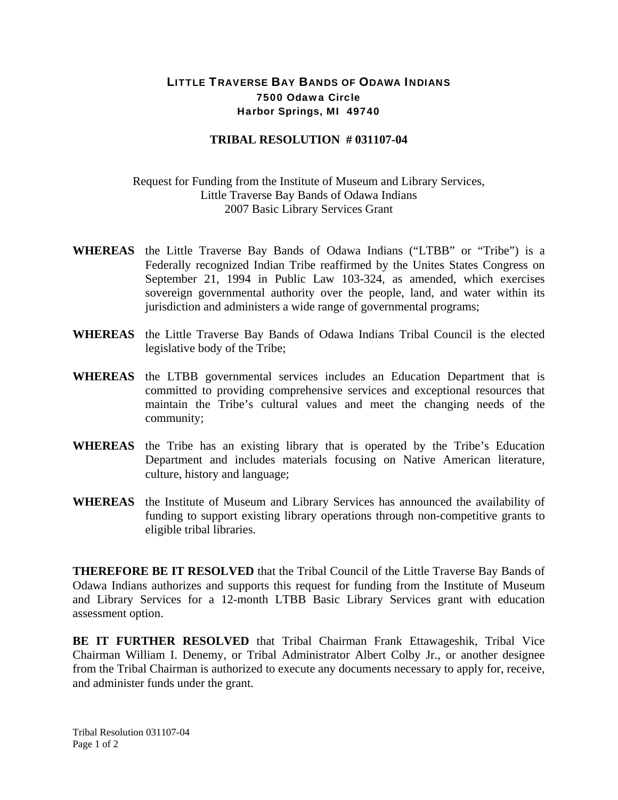## LITTLE TRAVERSE BAY BANDS OF ODAWA INDIANS 7500 Odawa Circle Harbor Springs, MI 49740

## **TRIBAL RESOLUTION # 031107-04**

## Request for Funding from the Institute of Museum and Library Services, Little Traverse Bay Bands of Odawa Indians 2007 Basic Library Services Grant

- **WHEREAS** the Little Traverse Bay Bands of Odawa Indians ("LTBB" or "Tribe") is a Federally recognized Indian Tribe reaffirmed by the Unites States Congress on September 21, 1994 in Public Law 103-324, as amended, which exercises sovereign governmental authority over the people, land, and water within its jurisdiction and administers a wide range of governmental programs;
- **WHEREAS** the Little Traverse Bay Bands of Odawa Indians Tribal Council is the elected legislative body of the Tribe;
- **WHEREAS** the LTBB governmental services includes an Education Department that is committed to providing comprehensive services and exceptional resources that maintain the Tribe's cultural values and meet the changing needs of the community;
- **WHEREAS** the Tribe has an existing library that is operated by the Tribe's Education Department and includes materials focusing on Native American literature, culture, history and language;
- **WHEREAS** the Institute of Museum and Library Services has announced the availability of funding to support existing library operations through non-competitive grants to eligible tribal libraries.

**THEREFORE BE IT RESOLVED** that the Tribal Council of the Little Traverse Bay Bands of Odawa Indians authorizes and supports this request for funding from the Institute of Museum and Library Services for a 12-month LTBB Basic Library Services grant with education assessment option.

**BE IT FURTHER RESOLVED** that Tribal Chairman Frank Ettawageshik, Tribal Vice Chairman William I. Denemy, or Tribal Administrator Albert Colby Jr., or another designee from the Tribal Chairman is authorized to execute any documents necessary to apply for, receive, and administer funds under the grant.